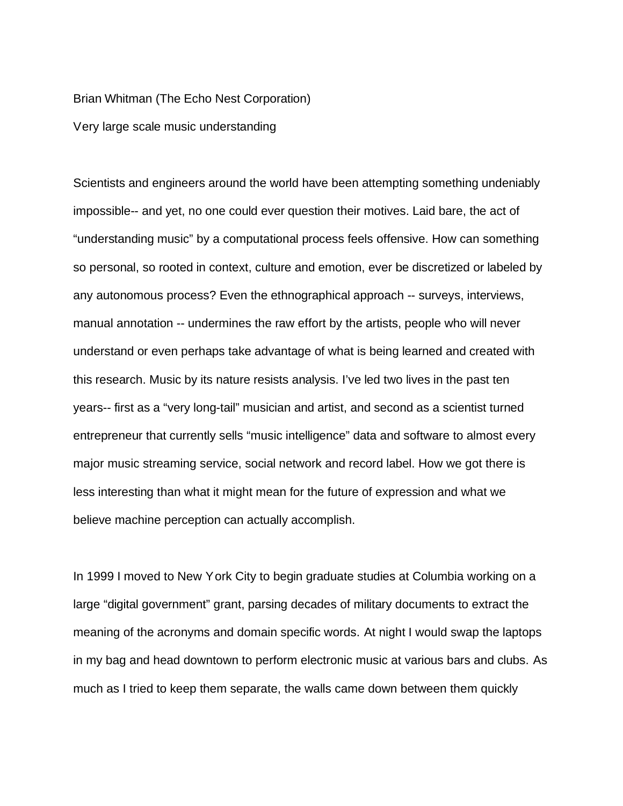Brian Whitman (The Echo Nest Corporation)

Very large scale music understanding

Scientists and engineers around the world have been attempting something undeniably impossible-- and yet, no one could ever question their motives. Laid bare, the act of "understanding music" by a computational process feels offensive. How can something so personal, so rooted in context, culture and emotion, ever be discretized or labeled by any autonomous process? Even the ethnographical approach -- surveys, interviews, manual annotation -- undermines the raw effort by the artists, people who will never understand or even perhaps take advantage of what is being learned and created with this research. Music by its nature resists analysis. I've led two lives in the past ten years-- first as a "very long-tail" musician and artist, and second as a scientist turned entrepreneur that currently sells "music intelligence" data and software to almost every major music streaming service, social network and record label. How we got there is less interesting than what it might mean for the future of expression and what we believe machine perception can actually accomplish.

In 1999 I moved to New York City to begin graduate studies at Columbia working on a large "digital government" grant, parsing decades of military documents to extract the meaning of the acronyms and domain specific words. At night I would swap the laptops in my bag and head downtown to perform electronic music at various bars and clubs. As much as I tried to keep them separate, the walls came down between them quickly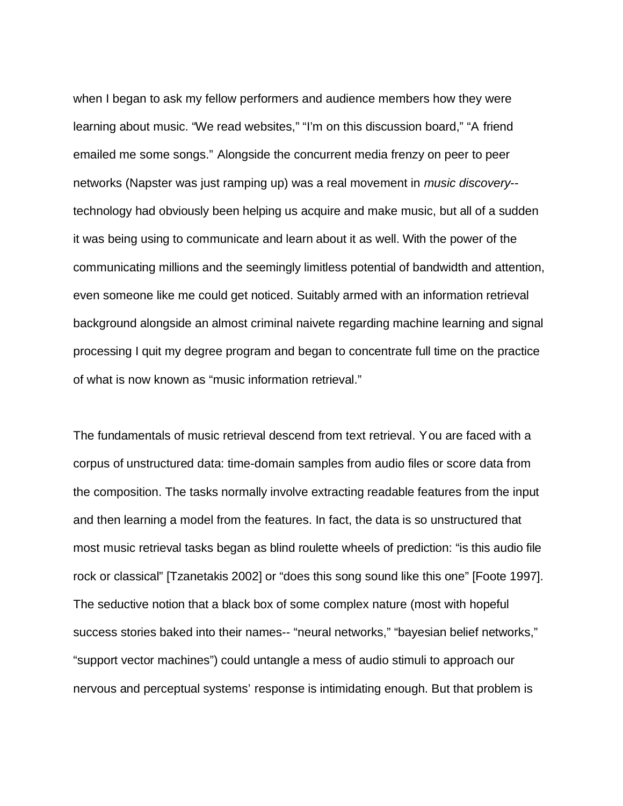when I began to ask my fellow performers and audience members how they were learning about music. "We read websites," "I'm on this discussion board," "A friend emailed me some songs." Alongside the concurrent media frenzy on peer to peer networks (Napster was just ramping up) was a real movement in *music discovery*- technology had obviously been helping us acquire and make music, but all of a sudden it was being using to communicate and learn about it as well. With the power of the communicating millions and the seemingly limitless potential of bandwidth and attention, even someone like me could get noticed. Suitably armed with an information retrieval background alongside an almost criminal naivete regarding machine learning and signal processing I quit my degree program and began to concentrate full time on the practice of what is now known as "music information retrieval."

The fundamentals of music retrieval descend from text retrieval. You are faced with a corpus of unstructured data: time-domain samples from audio files or score data from the composition. The tasks normally involve extracting readable features from the input and then learning a model from the features. In fact, the data is so unstructured that most music retrieval tasks began as blind roulette wheels of prediction: "is this audio file rock or classical" [Tzanetakis 2002] or "does this song sound like this one" [Foote 1997]. The seductive notion that a black box of some complex nature (most with hopeful success stories baked into their names-- "neural networks," "bayesian belief networks," "support vector machines") could untangle a mess of audio stimuli to approach our nervous and perceptual systems' response is intimidating enough. But that problem is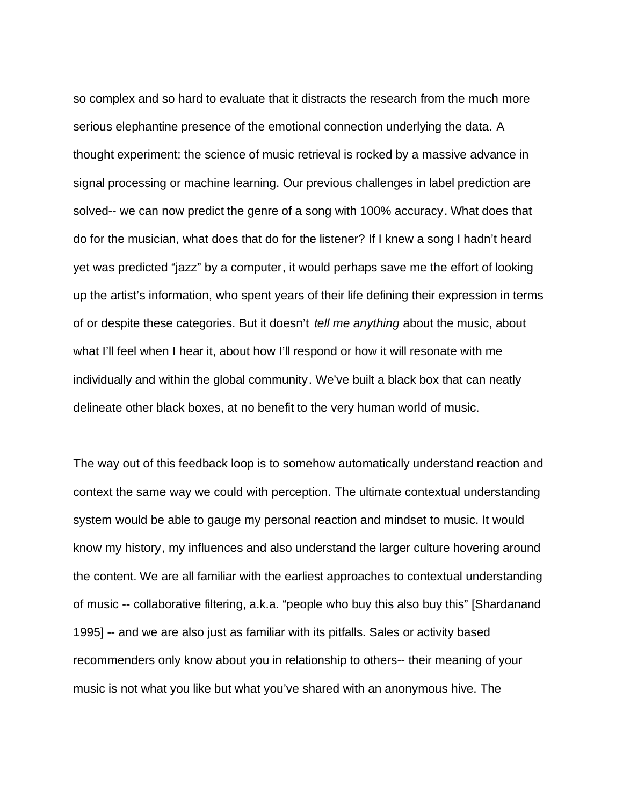so complex and so hard to evaluate that it distracts the research from the much more serious elephantine presence of the emotional connection underlying the data. A thought experiment: the science of music retrieval is rocked by a massive advance in signal processing or machine learning. Our previous challenges in label prediction are solved-- we can now predict the genre of a song with 100% accuracy. What does that do for the musician, what does that do for the listener? If I knew a song I hadn't heard yet was predicted "jazz" by a computer, it would perhaps save me the effort of looking up the artist's information, who spent years of their life defining their expression in terms of or despite these categories. But it doesn't *tell me anything* about the music, about what I'll feel when I hear it, about how I'll respond or how it will resonate with me individually and within the global community. We've built a black box that can neatly delineate other black boxes, at no benefit to the very human world of music.

The way out of this feedback loop is to somehow automatically understand reaction and context the same way we could with perception. The ultimate contextual understanding system would be able to gauge my personal reaction and mindset to music. It would know my history, my influences and also understand the larger culture hovering around the content. We are all familiar with the earliest approaches to contextual understanding of music -- collaborative filtering, a.k.a. "people who buy this also buy this" [Shardanand 1995] -- and we are also just as familiar with its pitfalls. Sales or activity based recommenders only know about you in relationship to others-- their meaning of your music is not what you like but what you've shared with an anonymous hive. The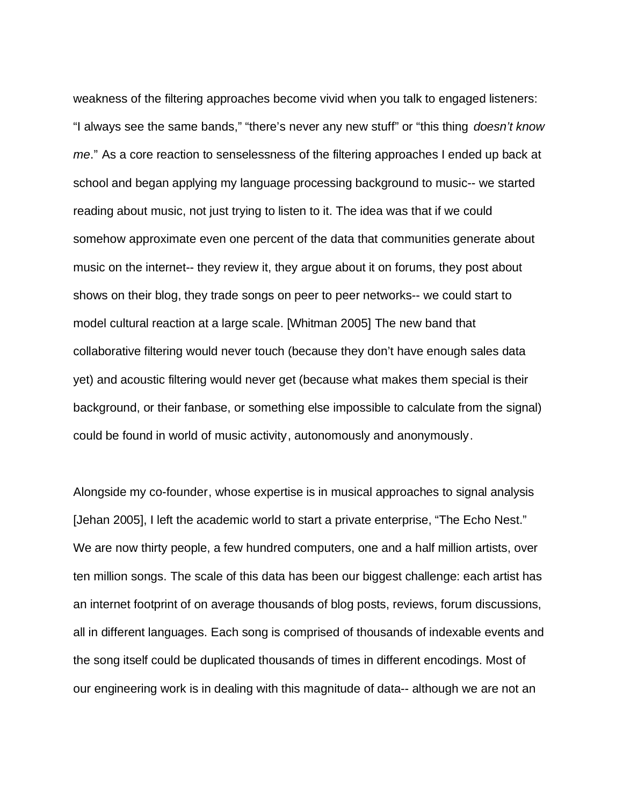weakness of the filtering approaches become vivid when you talk to engaged listeners: "I always see the same bands," "there's never any new stuff" or "this thing *doesn't know me*." As a core reaction to senselessness of the filtering approaches I ended up back at school and began applying my language processing background to music-- we started reading about music, not just trying to listen to it. The idea was that if we could somehow approximate even one percent of the data that communities generate about music on the internet-- they review it, they argue about it on forums, they post about shows on their blog, they trade songs on peer to peer networks-- we could start to model cultural reaction at a large scale. [Whitman 2005] The new band that collaborative filtering would never touch (because they don't have enough sales data yet) and acoustic filtering would never get (because what makes them special is their background, or their fanbase, or something else impossible to calculate from the signal) could be found in world of music activity, autonomously and anonymously.

Alongside my co-founder, whose expertise is in musical approaches to signal analysis [Jehan 2005], I left the academic world to start a private enterprise, "The Echo Nest." We are now thirty people, a few hundred computers, one and a half million artists, over ten million songs. The scale of this data has been our biggest challenge: each artist has an internet footprint of on average thousands of blog posts, reviews, forum discussions, all in different languages. Each song is comprised of thousands of indexable events and the song itself could be duplicated thousands of times in different encodings. Most of our engineering work is in dealing with this magnitude of data-- although we are not an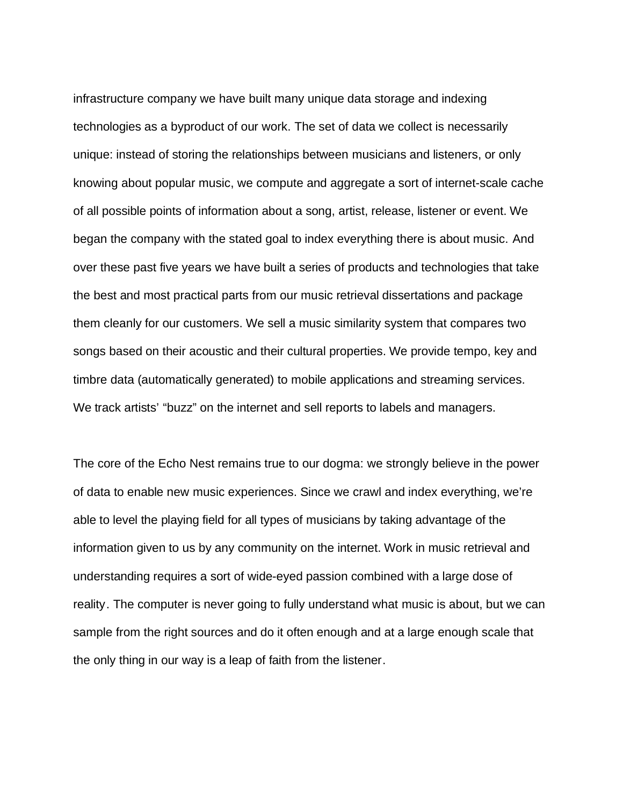infrastructure company we have built many unique data storage and indexing technologies as a byproduct of our work. The set of data we collect is necessarily unique: instead of storing the relationships between musicians and listeners, or only knowing about popular music, we compute and aggregate a sort of internet-scale cache of all possible points of information about a song, artist, release, listener or event. We began the company with the stated goal to index everything there is about music. And over these past five years we have built a series of products and technologies that take the best and most practical parts from our music retrieval dissertations and package them cleanly for our customers. We sell a music similarity system that compares two songs based on their acoustic and their cultural properties. We provide tempo, key and timbre data (automatically generated) to mobile applications and streaming services. We track artists' "buzz" on the internet and sell reports to labels and managers.

The core of the Echo Nest remains true to our dogma: we strongly believe in the power of data to enable new music experiences. Since we crawl and index everything, we're able to level the playing field for all types of musicians by taking advantage of the information given to us by any community on the internet. Work in music retrieval and understanding requires a sort of wide-eyed passion combined with a large dose of reality. The computer is never going to fully understand what music is about, but we can sample from the right sources and do it often enough and at a large enough scale that the only thing in our way is a leap of faith from the listener.